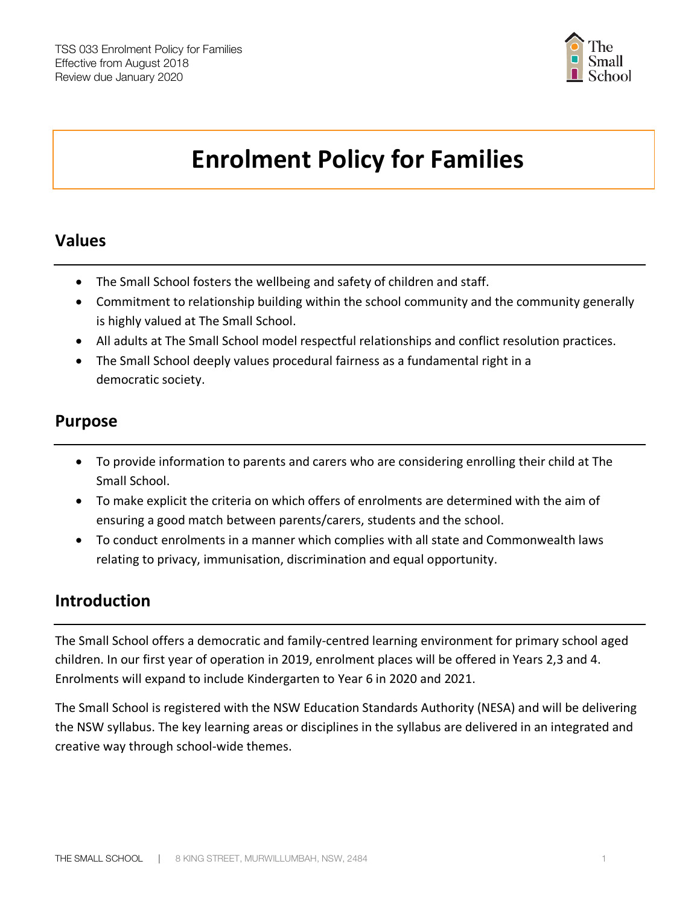

# **Enrolment Policy for Families**

## **Values**

- The Small School fosters the wellbeing and safety of children and staff.
- Commitment to relationship building within the school community and the community generally is highly valued at The Small School.
- All adults at The Small School model respectful relationships and conflict resolution practices.
- The Small School deeply values procedural fairness as a fundamental right in a democratic society.

## **Purpose**

- To provide information to parents and carers who are considering enrolling their child at The Small School.
- To make explicit the criteria on which offers of enrolments are determined with the aim of ensuring a good match between parents/carers, students and the school.
- To conduct enrolments in a manner which complies with all state and Commonwealth laws relating to privacy, immunisation, discrimination and equal opportunity.

## **Introduction**

The Small School offers a democratic and family-centred learning environment for primary school aged children. In our first year of operation in 2019, enrolment places will be offered in Years 2,3 and 4. Enrolments will expand to include Kindergarten to Year 6 in 2020 and 2021.

The Small School is registered with the NSW Education Standards Authority (NESA) and will be delivering the NSW syllabus. The key learning areas or disciplines in the syllabus are delivered in an integrated and creative way through school-wide themes.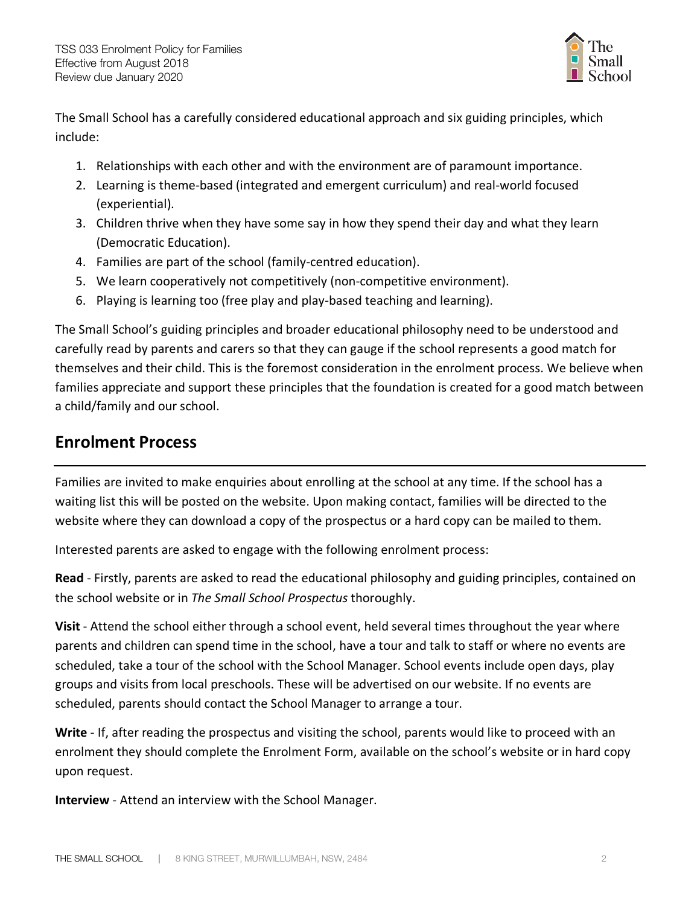

The Small School has a carefully considered educational approach and six guiding principles, which include:

- 1. Relationships with each other and with the environment are of paramount importance.
- 2. Learning is theme-based (integrated and emergent curriculum) and real-world focused (experiential).
- 3. Children thrive when they have some say in how they spend their day and what they learn (Democratic Education).
- 4. Families are part of the school (family-centred education).
- 5. We learn cooperatively not competitively (non-competitive environment).
- 6. Playing is learning too (free play and play-based teaching and learning).

The Small School's guiding principles and broader educational philosophy need to be understood and carefully read by parents and carers so that they can gauge if the school represents a good match for themselves and their child. This is the foremost consideration in the enrolment process. We believe when families appreciate and support these principles that the foundation is created for a good match between a child/family and our school.

## **Enrolment Process**

Families are invited to make enquiries about enrolling at the school at any time. If the school has a waiting list this will be posted on the website. Upon making contact, families will be directed to the website where they can download a copy of the prospectus or a hard copy can be mailed to them.

Interested parents are asked to engage with the following enrolment process:

**Read** - Firstly, parents are asked to read the educational philosophy and guiding principles, contained on the school website or in *The Small School Prospectus* thoroughly.

**Visit** - Attend the school either through a school event, held several times throughout the year where parents and children can spend time in the school, have a tour and talk to staff or where no events are scheduled, take a tour of the school with the School Manager. School events include open days, play groups and visits from local preschools. These will be advertised on our website. If no events are scheduled, parents should contact the School Manager to arrange a tour.

**Write** - If, after reading the prospectus and visiting the school, parents would like to proceed with an enrolment they should complete the Enrolment Form, available on the school's website or in hard copy upon request.

**Interview** - Attend an interview with the School Manager.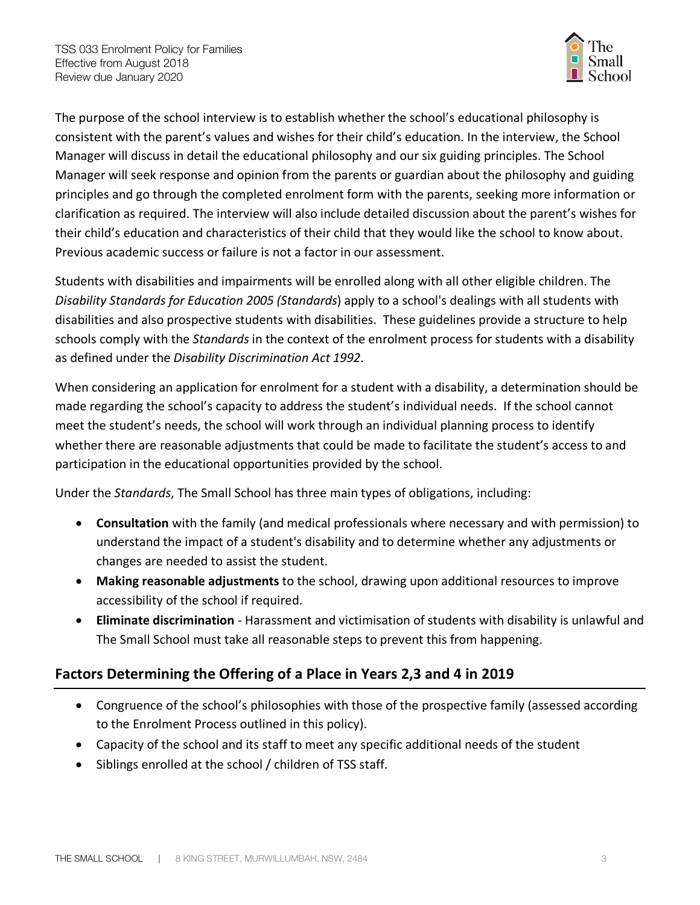

The purpose of the school interview is to establish whether the school's educational philosophy is consistent with the parent's values and wishes for their child's education. In the interview, the School Manager will discuss in detail the educational philosophy and our six guiding principles. The School Manager will seek response and opinion from the parents or guardian about the philosophy and guiding principles and go through the completed enrolment form with the parents, seeking more information or clarification as required. The interview will also include detailed discussion about the parent's wishes for their child's education and characteristics of their child that they would like the school to know about. Previous academic success or failure is not a factor in our assessment.

Students with disabilities and impairments will be enrolled along with all other eligible children. The *Disability Standards for Education 2005 (Standards*) apply to a school's dealings with all students with disabilities and also prospective students with disabilities. These guidelines provide a structure to help schools comply with the *Standards* in the context of the enrolment process for students with a disability as defined under the *Disability Discrimination Act 1992*.

When considering an application for enrolment for a student with a disability, a determination should be made regarding the school's capacity to address the student's individual needs. If the school cannot meet the student's needs, the school will work through an individual planning process to identify whether there are reasonable adjustments that could be made to facilitate the student's access to and participation in the educational opportunities provided by the school.

Under the *Standards*, The Small School has three main types of obligations, including:

- **Consultation** with the family (and medical professionals where necessary and with permission) to understand the impact of a student's disability and to determine whether any adjustments or changes are needed to assist the student.
- **Making reasonable adjustments** to the school, drawing upon additional resources to improve accessibility of the school if required.
- **Eliminate discrimination** Harassment and victimisation of students with disability is unlawful and The Small School must take all reasonable steps to prevent this from happening.

#### **Factors Determining the Offering of a Place in Years 2,3 and 4 in 2019**

- Congruence of the school's philosophies with those of the prospective family (assessed according to the Enrolment Process outlined in this policy).
- Capacity of the school and its staff to meet any specific additional needs of the student
- Siblings enrolled at the school / children of TSS staff.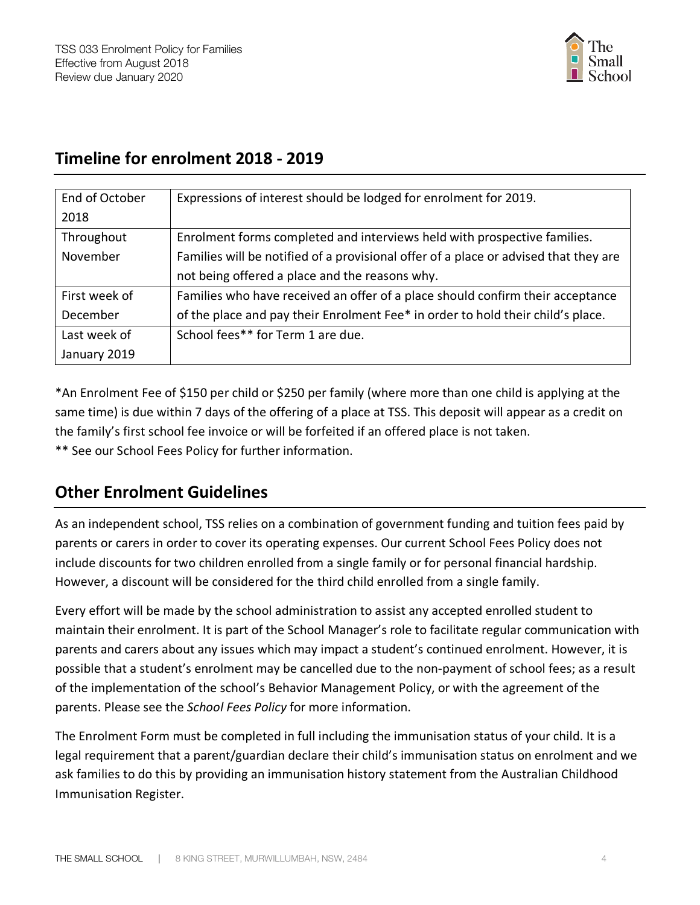

# **Timeline for enrolment 2018 - 2019**

| End of October | Expressions of interest should be lodged for enrolment for 2019.                     |
|----------------|--------------------------------------------------------------------------------------|
| 2018           |                                                                                      |
| Throughout     | Enrolment forms completed and interviews held with prospective families.             |
| November       | Families will be notified of a provisional offer of a place or advised that they are |
|                | not being offered a place and the reasons why.                                       |
| First week of  | Families who have received an offer of a place should confirm their acceptance       |
| December       | of the place and pay their Enrolment Fee* in order to hold their child's place.      |
| Last week of   | School fees** for Term 1 are due.                                                    |
| January 2019   |                                                                                      |

\*An Enrolment Fee of \$150 per child or \$250 per family (where more than one child is applying at the same time) is due within 7 days of the offering of a place at TSS. This deposit will appear as a credit on the family's first school fee invoice or will be forfeited if an offered place is not taken. \*\* See our School Fees Policy for further information.

## **Other Enrolment Guidelines**

As an independent school, TSS relies on a combination of government funding and tuition fees paid by parents or carers in order to cover its operating expenses. Our current School Fees Policy does not include discounts for two children enrolled from a single family or for personal financial hardship. However, a discount will be considered for the third child enrolled from a single family.

Every effort will be made by the school administration to assist any accepted enrolled student to maintain their enrolment. It is part of the School Manager's role to facilitate regular communication with parents and carers about any issues which may impact a student's continued enrolment. However, it is possible that a student's enrolment may be cancelled due to the non-payment of school fees; as a result of the implementation of the school's Behavior Management Policy, or with the agreement of the parents. Please see the *School Fees Policy* for more information.

The Enrolment Form must be completed in full including the immunisation status of your child. It is a legal requirement that a parent/guardian declare their child's immunisation status on enrolment and we ask families to do this by providing an immunisation history statement from the Australian Childhood Immunisation Register.